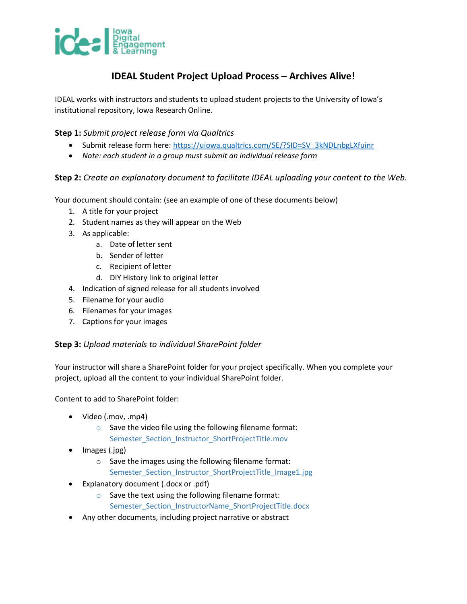

# **IDEAL Student Project Upload Process – Archives Alive!**

IDEAL works with instructors and students to upload student projects to the University of Iowa's institutional repository, Iowa Research Online.

## **Step 1:** *Submit project release form via Qualtrics*

- Submit release form here: [https://uiowa.qualtrics.com/SE/?SID=SV\\_3kNDLnbgLXfuinr](https://uiowa.qualtrics.com/SE/?SID=SV_3kNDLnbgLXfuinr)
- *Note: each student in a group must submit an individual release form*

#### **Step 2:** *Create an explanatory document to facilitate IDEAL uploading your content to the Web.*

Your document should contain: (see an example of one of these documents below)

- 1. A title for your project
- 2. Student names as they will appear on the Web
- 3. As applicable:
	- a. Date of letter sent
	- b. Sender of letter
	- c. Recipient of letter
	- d. DIY History link to original letter
- 4. Indication of signed release for all students involved
- 5. Filename for your audio
- 6. Filenames for your images
- 7. Captions for your images

## **Step 3:** *Upload materials to individual SharePoint folder*

Your instructor will share a SharePoint folder for your project specifically. When you complete your project, upload all the content to your individual SharePoint folder.

Content to add to SharePoint folder:

- Video (.mov, .mp4)
	- $\circ$  Save the video file using the following filename format: Semester\_Section\_Instructor\_ShortProjectTitle.mov
- Images (.jpg)
	- o Save the images using the following filename format: Semester\_Section\_Instructor\_ShortProjectTitle\_Image1.jpg
- Explanatory document (.docx or .pdf)
	- o Save the text using the following filename format: Semester\_Section\_InstructorName\_ShortProjectTitle.docx
- Any other documents, including project narrative or abstract